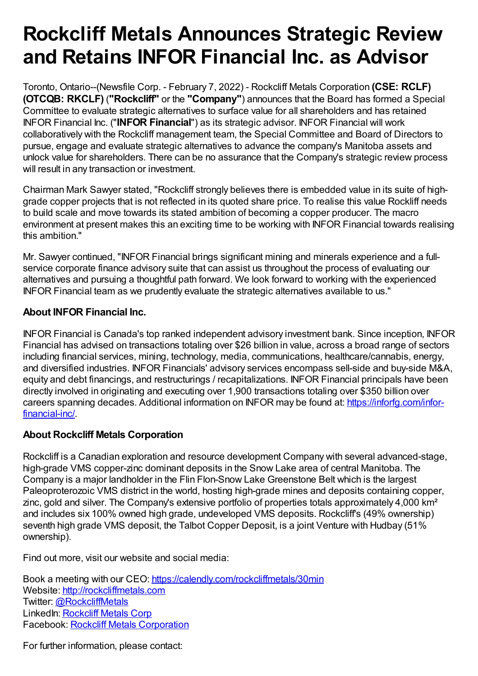## **Rockcliff Metals Announces Strategic Review and Retains INFOR Financial Inc. as Advisor**

Toronto, Ontario--(Newsfile Corp. - February 7, 2022) - Rockcliff Metals Corporation **(CSE: RCLF) (OTCQB: RKCLF)** (**"Rockcliff"** or the **"Company"**) announces that the Board has formed a Special Committee to evaluate strategic alternatives to surface value for all shareholders and has retained INFOR Financial Inc. ("**INFOR Financial**") as its strategic advisor. INFOR Financial will work collaboratively with the Rockcliff management team, the Special Committee and Board of Directors to pursue, engage and evaluate strategic alternatives to advance the company's Manitoba assets and unlock value for shareholders. There can be no assurance that the Company's strategic review process will result in any transaction or investment.

Chairman Mark Sawyer stated, "Rockcliff strongly believes there is embedded value in its suite of highgrade copper projects that is not reflected in its quoted share price. To realise this value Rockliff needs to build scale and move towards its stated ambition of becoming a copper producer. The macro environment at present makes this an exciting time to be working with INFOR Financial towards realising this ambition."

Mr. Sawyer continued, "INFOR Financial brings significant mining and minerals experience and a fullservice corporate finance advisory suite that can assist us throughout the process of evaluating our alternatives and pursuing a thoughtful path forward. We look forward to working with the experienced INFOR Financial team as we prudently evaluate the strategic alternatives available to us."

## **About INFOR Financial Inc.**

INFOR Financial is Canada's top ranked independent advisory investment bank. Since inception, INFOR Financial has advised on transactions totaling over \$26 billion in value, across a broad range of sectors including financial services, mining, technology, media, communications, healthcare/cannabis, energy, and diversified industries. INFOR Financials' advisory services encompass sell-side and buy-side M&A, equity and debt financings, and restructurings / recapitalizations. INFOR Financial principals have been directly involved in originating and executing over 1,900 transactions totaling over \$350 billion over careers spanning decades. Additional information on INFOR may be found at: [https://inforfg.com/infor](https://www.newsfilecorp.com/redirect/RVRpqskpOr)financial-inc/.

## **About Rockcliff Metals Corporation**

Rockcliff is a Canadian exploration and resource development Company with several advanced-stage, high-grade VMS copper-zinc dominant deposits in the Snow Lake area of central Manitoba. The Company is a major landholder in the Flin Flon-Snow Lake Greenstone Belt which is the largest Paleoproterozoic VMS district in the world, hosting high-grade mines and deposits containing copper, zinc, gold and silver. The Company's extensive portfolio of properties totals approximately 4,000 km² and includes six 100% owned high grade, undeveloped VMS deposits. Rockcliff's (49% ownership) seventh high grade VMS deposit, the Talbot Copper Deposit, is a joint Venture with Hudbay (51%) ownership).

Find out more, visit our website and social media:

Book a meeting with our CEO: [https://calendly.com/rockcliffmetals/30min](https://www.newsfilecorp.com/redirect/w2K4Dcw4Bw) Website: [http://rockcliffmetals.com](https://www.newsfilecorp.com/redirect/gx0YMHGn5K) Twitter: [@RockcliffMetals](https://www.newsfilecorp.com/redirect/p4KYMhA85r) LinkedIn: [Rockcliff](https://www.newsfilecorp.com/redirect/7ezE0UqV12) Metals Corp Facebook: Rockcliff Metals [Corporation](https://www.newsfilecorp.com/redirect/YzR3Mh5eMn)

For further information, please contact: